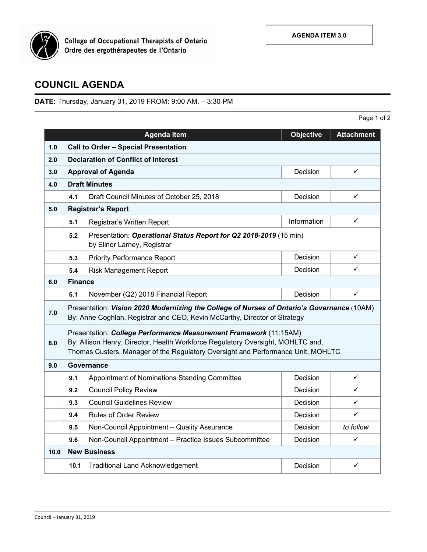

**College of Occupational Therapists of Ontario<br>Ordre des ergothérapeutes de l'Ontario** 

## **COUNCIL AGENDA**

**DATE:** Thursday, January 31, 2019 FROM**:** 9:00 AM. – 3:30 PM

|      |                                                                                                                                                                                                                                          | <b>Agenda Item</b>                                     | <b>Objective</b> | <b>Attachment</b> |  |  |
|------|------------------------------------------------------------------------------------------------------------------------------------------------------------------------------------------------------------------------------------------|--------------------------------------------------------|------------------|-------------------|--|--|
| 1.0  | <b>Call to Order - Special Presentation</b>                                                                                                                                                                                              |                                                        |                  |                   |  |  |
| 2.0  | <b>Declaration of Conflict of Interest</b>                                                                                                                                                                                               |                                                        |                  |                   |  |  |
| 3.0  |                                                                                                                                                                                                                                          | <b>Approval of Agenda</b>                              | Decision         | ✓                 |  |  |
| 4.0  |                                                                                                                                                                                                                                          | <b>Draft Minutes</b>                                   |                  |                   |  |  |
|      | 4.1                                                                                                                                                                                                                                      | Draft Council Minutes of October 25, 2018              | Decision         | ✓                 |  |  |
| 5.0  |                                                                                                                                                                                                                                          | <b>Registrar's Report</b>                              |                  |                   |  |  |
|      | 5.1                                                                                                                                                                                                                                      | Registrar's Written Report                             | Information      | ✓                 |  |  |
|      | Presentation: Operational Status Report for Q2 2018-2019 (15 min)<br>5.2<br>by Elinor Larney, Registrar                                                                                                                                  |                                                        |                  |                   |  |  |
|      | 5.3                                                                                                                                                                                                                                      | <b>Priority Performance Report</b>                     | Decision         | ✓                 |  |  |
|      | 5.4                                                                                                                                                                                                                                      | <b>Risk Management Report</b>                          | Decision         | ✓                 |  |  |
| 6.0  | <b>Finance</b>                                                                                                                                                                                                                           |                                                        |                  |                   |  |  |
|      | 6.1                                                                                                                                                                                                                                      | November (Q2) 2018 Financial Report                    | Decision         | ✓                 |  |  |
| 7.0  | Presentation: Vision 2020 Modernizing the College of Nurses of Ontario's Governance (10AM)<br>By: Anne Coghlan, Registrar and CEO, Kevin McCarthy, Director of Strategy                                                                  |                                                        |                  |                   |  |  |
| 8.0  | Presentation: College Performance Measurement Framework (11:15AM)<br>By: Allison Henry, Director, Health Workforce Regulatory Oversight, MOHLTC and,<br>Thomas Custers, Manager of the Regulatory Oversight and Performance Unit, MOHLTC |                                                        |                  |                   |  |  |
| 9.0  | Governance                                                                                                                                                                                                                               |                                                        |                  |                   |  |  |
|      | 9.1                                                                                                                                                                                                                                      | Appointment of Nominations Standing Committee          | Decision         | ✓                 |  |  |
|      | 9.2                                                                                                                                                                                                                                      | <b>Council Policy Review</b>                           | Decision         | ✓                 |  |  |
|      | 9.3                                                                                                                                                                                                                                      | <b>Council Guidelines Review</b>                       | Decision         | ✓                 |  |  |
|      | 9.4                                                                                                                                                                                                                                      | <b>Rules of Order Review</b>                           | Decision         | ✓                 |  |  |
|      | 9.5                                                                                                                                                                                                                                      | Non-Council Appointment - Quality Assurance            | Decision         | to follow         |  |  |
|      | 9.6                                                                                                                                                                                                                                      | Non-Council Appointment - Practice Issues Subcommittee | Decision         | ✓                 |  |  |
| 10.0 | <b>New Business</b>                                                                                                                                                                                                                      |                                                        |                  |                   |  |  |
|      | 10.1                                                                                                                                                                                                                                     | <b>Traditional Land Acknowledgement</b>                | Decision         | $\checkmark$      |  |  |